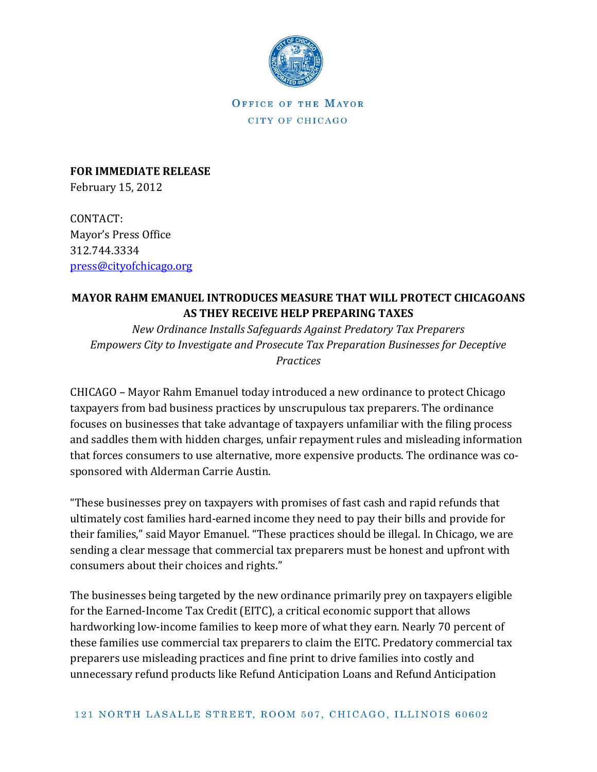

OFFICE OF THE MAYOR CITY OF CHICAGO

**FOR IMMEDIATE RELEASE** February 15, 2012

CONTACT: Mayor's Press Office 312.744.3334 [press@cityofchicago.org](mailto:press@cityofchicago.org)

## **MAYOR RAHM EMANUEL INTRODUCES MEASURE THAT WILL PROTECT CHICAGOANS AS THEY RECEIVE HELP PREPARING TAXES**

*New Ordinance Installs Safeguards Against Predatory Tax Preparers Empowers City to Investigate and Prosecute Tax Preparation Businesses for Deceptive Practices*

CHICAGO – Mayor Rahm Emanuel today introduced a new ordinance to protect Chicago taxpayers from bad business practices by unscrupulous tax preparers. The ordinance focuses on businesses that take advantage of taxpayers unfamiliar with the filing process and saddles them with hidden charges, unfair repayment rules and misleading information that forces consumers to use alternative, more expensive products. The ordinance was cosponsored with Alderman Carrie Austin.

"These businesses prey on taxpayers with promises of fast cash and rapid refunds that ultimately cost families hard-earned income they need to pay their bills and provide for their families," said Mayor Emanuel. "These practices should be illegal. In Chicago, we are sending a clear message that commercial tax preparers must be honest and upfront with consumers about their choices and rights."

The businesses being targeted by the new ordinance primarily prey on taxpayers eligible for the Earned-Income Tax Credit (EITC), a critical economic support that allows hardworking low-income families to keep more of what they earn. Nearly 70 percent of these families use commercial tax preparers to claim the EITC. Predatory commercial tax preparers use misleading practices and fine print to drive families into costly and unnecessary refund products like Refund Anticipation Loans and Refund Anticipation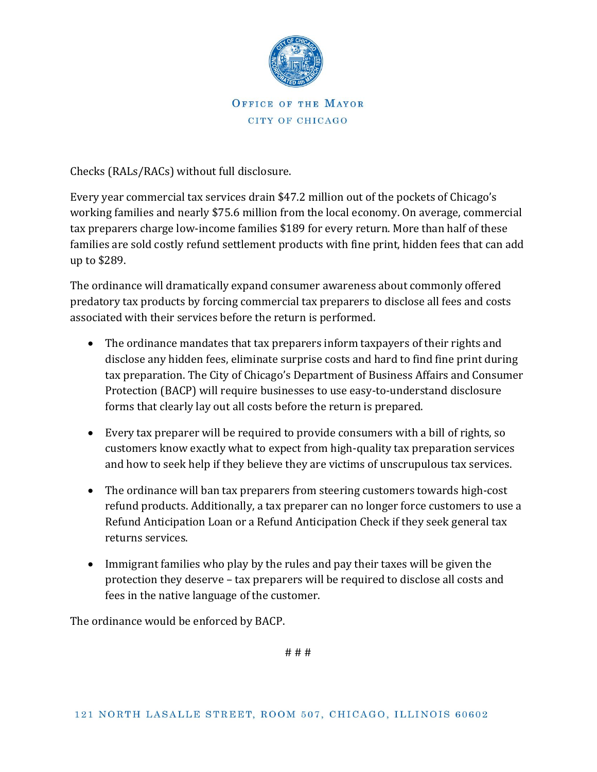

## OFFICE OF THE MAYOR CITY OF CHICAGO

Checks (RALs/RACs) without full disclosure.

Every year commercial tax services drain \$47.2 million out of the pockets of Chicago's working families and nearly \$75.6 million from the local economy. On average, commercial tax preparers charge low-income families \$189 for every return. More than half of these families are sold costly refund settlement products with fine print, hidden fees that can add up to \$289.

The ordinance will dramatically expand consumer awareness about commonly offered predatory tax products by forcing commercial tax preparers to disclose all fees and costs associated with their services before the return is performed.

- The ordinance mandates that tax preparers inform taxpayers of their rights and disclose any hidden fees, eliminate surprise costs and hard to find fine print during tax preparation. The City of Chicago's Department of Business Affairs and Consumer Protection (BACP) will require businesses to use easy-to-understand disclosure forms that clearly lay out all costs before the return is prepared.
- Every tax preparer will be required to provide consumers with a bill of rights, so customers know exactly what to expect from high-quality tax preparation services and how to seek help if they believe they are victims of unscrupulous tax services.
- The ordinance will ban tax preparers from steering customers towards high-cost refund products. Additionally, a tax preparer can no longer force customers to use a Refund Anticipation Loan or a Refund Anticipation Check if they seek general tax returns services.
- Immigrant families who play by the rules and pay their taxes will be given the protection they deserve – tax preparers will be required to disclose all costs and fees in the native language of the customer.

The ordinance would be enforced by BACP.

# # #